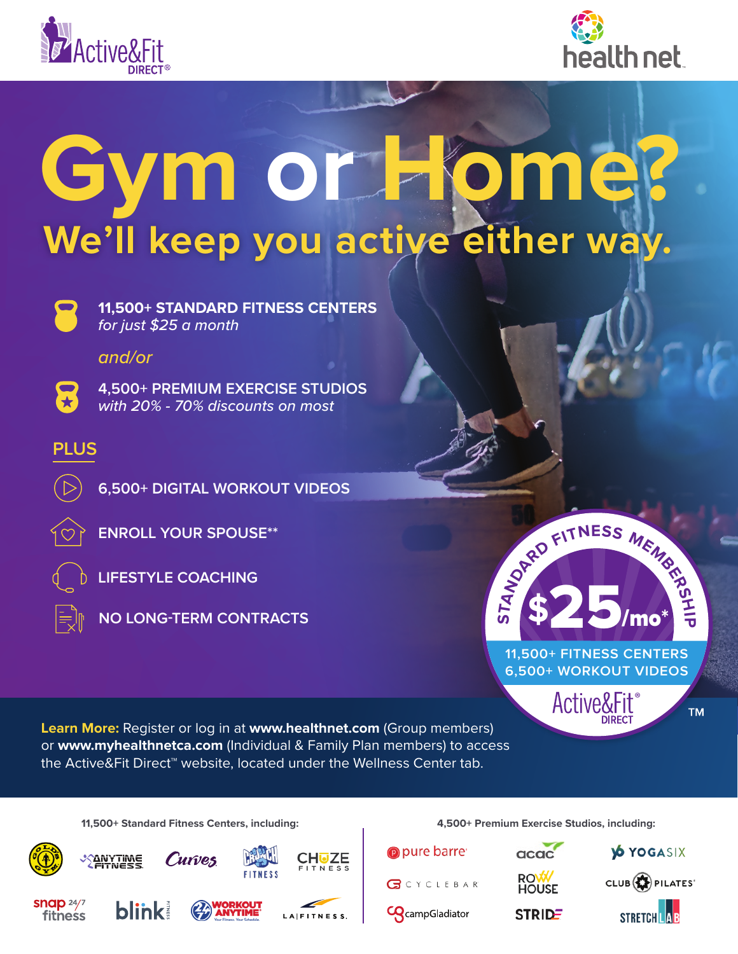



## **Gym or Home? We'll keep you active either way.**



**11,500+ STANDARD FITNESS CENTERS**  *for just \$25 a month*

*and/or*



**4,500+ PREMIUM EXERCISE STUDIOS**  *with 20% - 70% discounts on most*

## **PLUS**



**ENROLL YOUR SPOUSE\*\***



**LIFESTYLE COACHING**



**NO LONG-TERM CONTRACTS**

**11,500+ FITNESS CENTERS 6,500+ WORKOUT VIDEOS EXPLOSED MEMBER** 

Active&Fit

**Learn More:** Register or log in at **www.healthnet.com** (Group members) or **www.myhealthnetca.com** (Individual & Family Plan members) to access the Active&Fit Direct™ website, located under the Wellness Center tab.

**11,500+ Standard Fitness Centers, including: 4,500+ Premium Exercise Studios, including:**







**STRIDE** 

<u>ທ</u>



CLUB **DE PILATES** 

**TM**